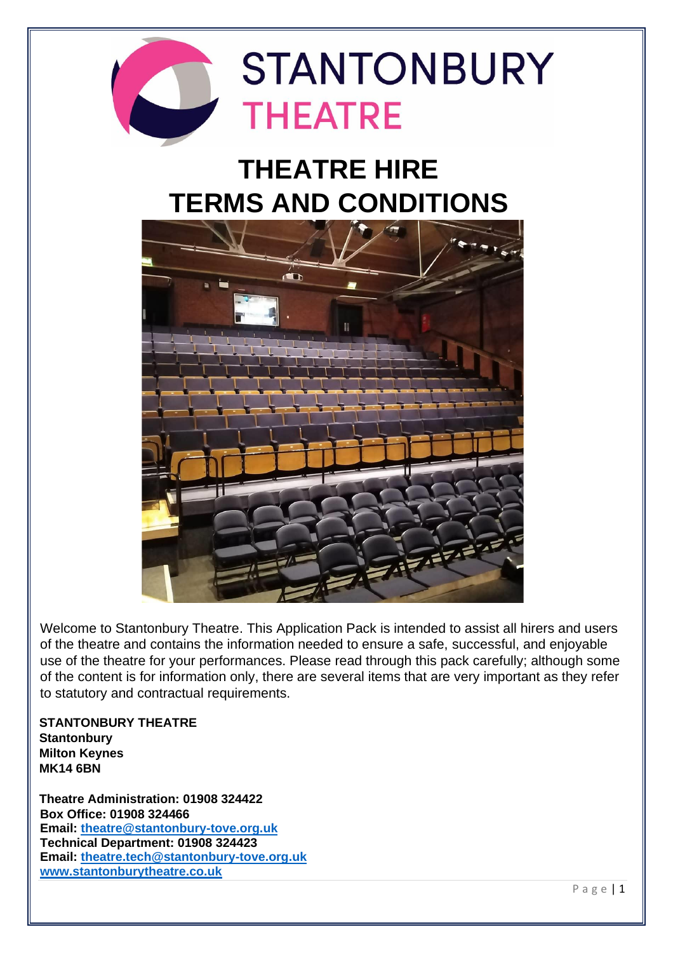

# **THEATRE HIRE TERMS AND CONDITIONS**



Welcome to Stantonbury Theatre. This Application Pack is intended to assist all hirers and users of the theatre and contains the information needed to ensure a safe, successful, and enjoyable use of the theatre for your performances. Please read through this pack carefully; although some of the content is for information only, there are several items that are very important as they refer to statutory and contractual requirements.

**STANTONBURY THEATRE Stantonbury Milton Keynes MK14 6BN** 

**Theatre Administration: 01908 324422 Box Office: 01908 324466 Email: [theatre@stantonbury-tove.org.uk](mailto:theatre@stantonbury-tove.org.uk) Technical Department: 01908 324423 Email: [theatre.tech@stantonbury-tove.org.uk](mailto:theatre.tech@stantonbury-tove.org.uk) [www.stantonburytheatre.co.uk](http://www.stantonburytheatre.co.uk/)**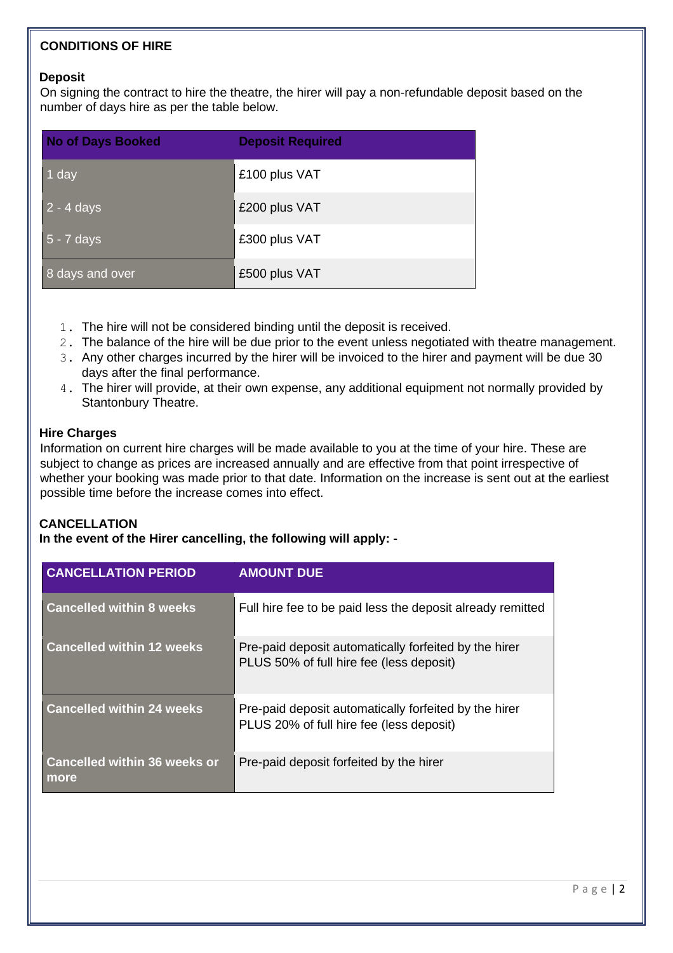# **CONDITIONS OF HIRE**

#### **Deposit**

On signing the contract to hire the theatre, the hirer will pay a non-refundable deposit based on the number of days hire as per the table below.

| <b>No of Days Booked</b> | <b>Deposit Required</b> |
|--------------------------|-------------------------|
| 1 day                    | £100 plus VAT           |
| $2 - 4$ days             | £200 plus VAT           |
| $5 - 7$ days             | £300 plus VAT           |
| 8 days and over          | £500 plus VAT           |

- 1. The hire will not be considered binding until the deposit is received.
- 2. The balance of the hire will be due prior to the event unless negotiated with theatre management.
- 3. Any other charges incurred by the hirer will be invoiced to the hirer and payment will be due 30 days after the final performance.
- 4. The hirer will provide, at their own expense, any additional equipment not normally provided by Stantonbury Theatre.

#### **Hire Charges**

Information on current hire charges will be made available to you at the time of your hire. These are subject to change as prices are increased annually and are effective from that point irrespective of whether your booking was made prior to that date. Information on the increase is sent out at the earliest possible time before the increase comes into effect.

#### **CANCELLATION**

**In the event of the Hirer cancelling, the following will apply: -**

| <b>CANCELLATION PERIOD</b>                  | <b>AMOUNT DUE</b>                                                                                 |
|---------------------------------------------|---------------------------------------------------------------------------------------------------|
| <b>Cancelled within 8 weeks</b>             | Full hire fee to be paid less the deposit already remitted                                        |
| <b>Cancelled within 12 weeks</b>            | Pre-paid deposit automatically forfeited by the hirer<br>PLUS 50% of full hire fee (less deposit) |
| <b>Cancelled within 24 weeks</b>            | Pre-paid deposit automatically forfeited by the hirer<br>PLUS 20% of full hire fee (less deposit) |
| <b>Cancelled within 36 weeks or</b><br>more | Pre-paid deposit forfeited by the hirer                                                           |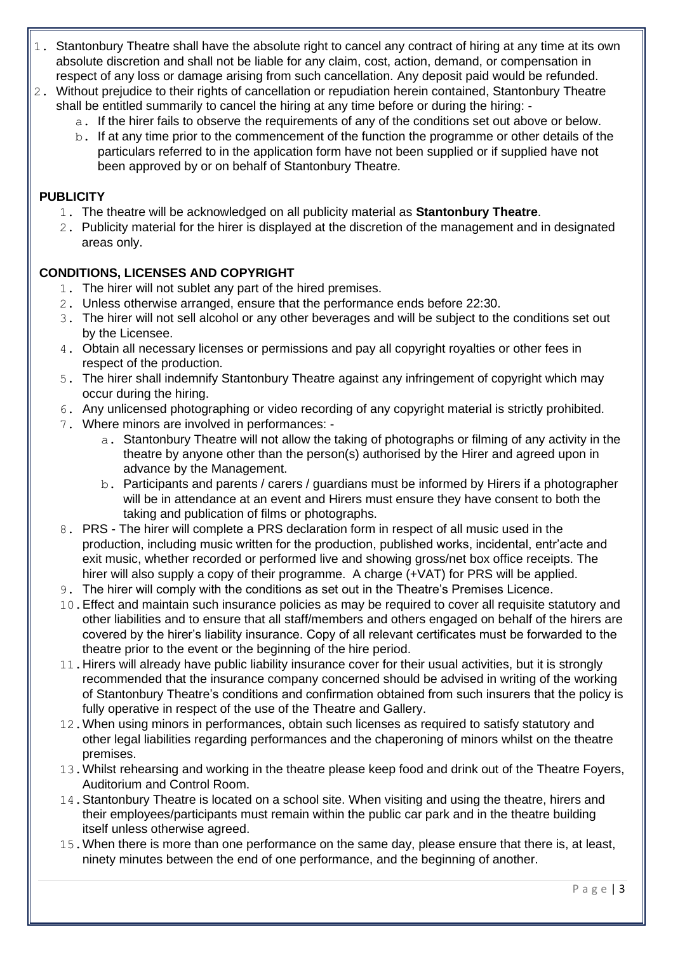- 1. Stantonbury Theatre shall have the absolute right to cancel any contract of hiring at any time at its own absolute discretion and shall not be liable for any claim, cost, action, demand, or compensation in respect of any loss or damage arising from such cancellation. Any deposit paid would be refunded.
- 2. Without prejudice to their rights of cancellation or repudiation herein contained, Stantonbury Theatre shall be entitled summarily to cancel the hiring at any time before or during the hiring:
	- a. If the hirer fails to observe the requirements of any of the conditions set out above or below.
	- b. If at any time prior to the commencement of the function the programme or other details of the particulars referred to in the application form have not been supplied or if supplied have not been approved by or on behalf of Stantonbury Theatre.

## **PUBLICITY**

- 1. The theatre will be acknowledged on all publicity material as **Stantonbury Theatre**.
- 2. Publicity material for the hirer is displayed at the discretion of the management and in designated areas only.

## **CONDITIONS, LICENSES AND COPYRIGHT**

- 1. The hirer will not sublet any part of the hired premises.
- 2. Unless otherwise arranged, ensure that the performance ends before 22:30.
- 3. The hirer will not sell alcohol or any other beverages and will be subject to the conditions set out by the Licensee.
- 4. Obtain all necessary licenses or permissions and pay all copyright royalties or other fees in respect of the production.
- 5. The hirer shall indemnify Stantonbury Theatre against any infringement of copyright which may occur during the hiring.
- 6. Any unlicensed photographing or video recording of any copyright material is strictly prohibited.
- 7. Where minors are involved in performances:
	- a. Stantonbury Theatre will not allow the taking of photographs or filming of any activity in the theatre by anyone other than the person(s) authorised by the Hirer and agreed upon in advance by the Management.
	- b. Participants and parents / carers / guardians must be informed by Hirers if a photographer will be in attendance at an event and Hirers must ensure they have consent to both the taking and publication of films or photographs.
- 8. PRS The hirer will complete a PRS declaration form in respect of all music used in the production, including music written for the production, published works, incidental, entr'acte and exit music, whether recorded or performed live and showing gross/net box office receipts. The hirer will also supply a copy of their programme. A charge (+VAT) for PRS will be applied.
- 9. The hirer will comply with the conditions as set out in the Theatre's Premises Licence.
- 10.Effect and maintain such insurance policies as may be required to cover all requisite statutory and other liabilities and to ensure that all staff/members and others engaged on behalf of the hirers are covered by the hirer's liability insurance. Copy of all relevant certificates must be forwarded to the theatre prior to the event or the beginning of the hire period.
- 11.Hirers will already have public liability insurance cover for their usual activities, but it is strongly recommended that the insurance company concerned should be advised in writing of the working of Stantonbury Theatre's conditions and confirmation obtained from such insurers that the policy is fully operative in respect of the use of the Theatre and Gallery.
- 12. When using minors in performances, obtain such licenses as required to satisfy statutory and other legal liabilities regarding performances and the chaperoning of minors whilst on the theatre premises.
- 13.Whilst rehearsing and working in the theatre please keep food and drink out of the Theatre Foyers, Auditorium and Control Room.
- 14. Stantonbury Theatre is located on a school site. When visiting and using the theatre, hirers and their employees/participants must remain within the public car park and in the theatre building itself unless otherwise agreed.
- 15.When there is more than one performance on the same day, please ensure that there is, at least, ninety minutes between the end of one performance, and the beginning of another.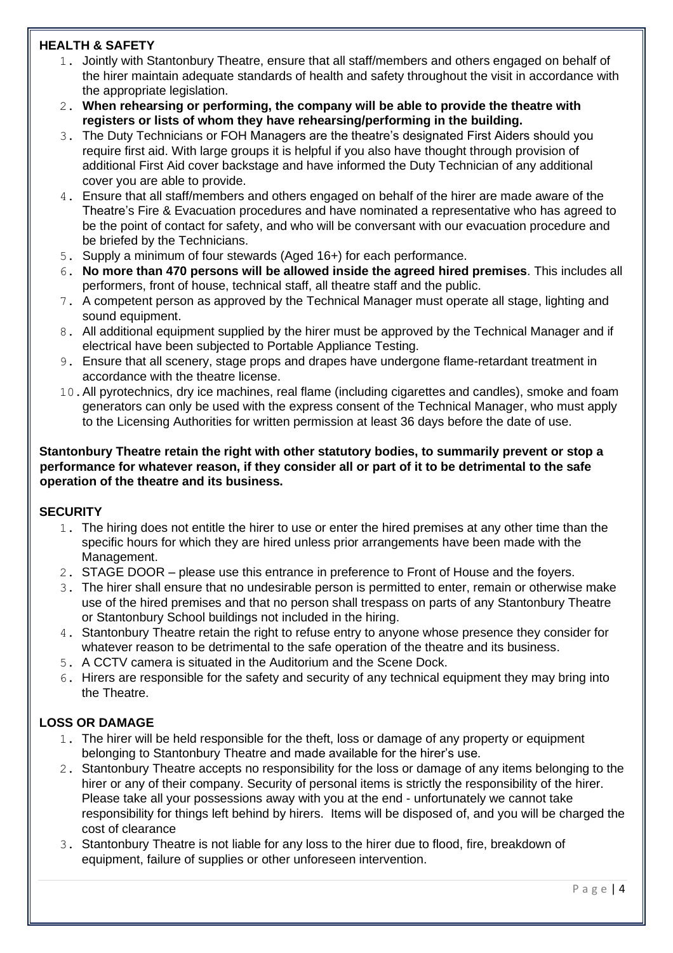# **HEALTH & SAFETY**

- 1. Jointly with Stantonbury Theatre, ensure that all staff/members and others engaged on behalf of the hirer maintain adequate standards of health and safety throughout the visit in accordance with the appropriate legislation.
- 2. **When rehearsing or performing, the company will be able to provide the theatre with registers or lists of whom they have rehearsing/performing in the building.**
- 3. The Duty Technicians or FOH Managers are the theatre's designated First Aiders should you require first aid. With large groups it is helpful if you also have thought through provision of additional First Aid cover backstage and have informed the Duty Technician of any additional cover you are able to provide.
- 4. Ensure that all staff/members and others engaged on behalf of the hirer are made aware of the Theatre's Fire & Evacuation procedures and have nominated a representative who has agreed to be the point of contact for safety, and who will be conversant with our evacuation procedure and be briefed by the Technicians.
- 5. Supply a minimum of four stewards (Aged 16+) for each performance.
- 6. **No more than 470 persons will be allowed inside the agreed hired premises**. This includes all performers, front of house, technical staff, all theatre staff and the public.
- 7. A competent person as approved by the Technical Manager must operate all stage, lighting and sound equipment.
- 8. All additional equipment supplied by the hirer must be approved by the Technical Manager and if electrical have been subjected to Portable Appliance Testing.
- 9. Ensure that all scenery, stage props and drapes have undergone flame-retardant treatment in accordance with the theatre license.
- 10.All pyrotechnics, dry ice machines, real flame (including cigarettes and candles), smoke and foam generators can only be used with the express consent of the Technical Manager, who must apply to the Licensing Authorities for written permission at least 36 days before the date of use.

#### **Stantonbury Theatre retain the right with other statutory bodies, to summarily prevent or stop a performance for whatever reason, if they consider all or part of it to be detrimental to the safe operation of the theatre and its business.**

# **SECURITY**

- 1. The hiring does not entitle the hirer to use or enter the hired premises at any other time than the specific hours for which they are hired unless prior arrangements have been made with the Management.
- 2. STAGE DOOR please use this entrance in preference to Front of House and the foyers.
- 3. The hirer shall ensure that no undesirable person is permitted to enter, remain or otherwise make use of the hired premises and that no person shall trespass on parts of any Stantonbury Theatre or Stantonbury School buildings not included in the hiring.
- 4. Stantonbury Theatre retain the right to refuse entry to anyone whose presence they consider for whatever reason to be detrimental to the safe operation of the theatre and its business.
- 5. A CCTV camera is situated in the Auditorium and the Scene Dock.
- 6. Hirers are responsible for the safety and security of any technical equipment they may bring into the Theatre.

# **LOSS OR DAMAGE**

- 1. The hirer will be held responsible for the theft, loss or damage of any property or equipment belonging to Stantonbury Theatre and made available for the hirer's use.
- 2. Stantonbury Theatre accepts no responsibility for the loss or damage of any items belonging to the hirer or any of their company. Security of personal items is strictly the responsibility of the hirer. Please take all your possessions away with you at the end - unfortunately we cannot take responsibility for things left behind by hirers. Items will be disposed of, and you will be charged the cost of clearance
- 3. Stantonbury Theatre is not liable for any loss to the hirer due to flood, fire, breakdown of equipment, failure of supplies or other unforeseen intervention.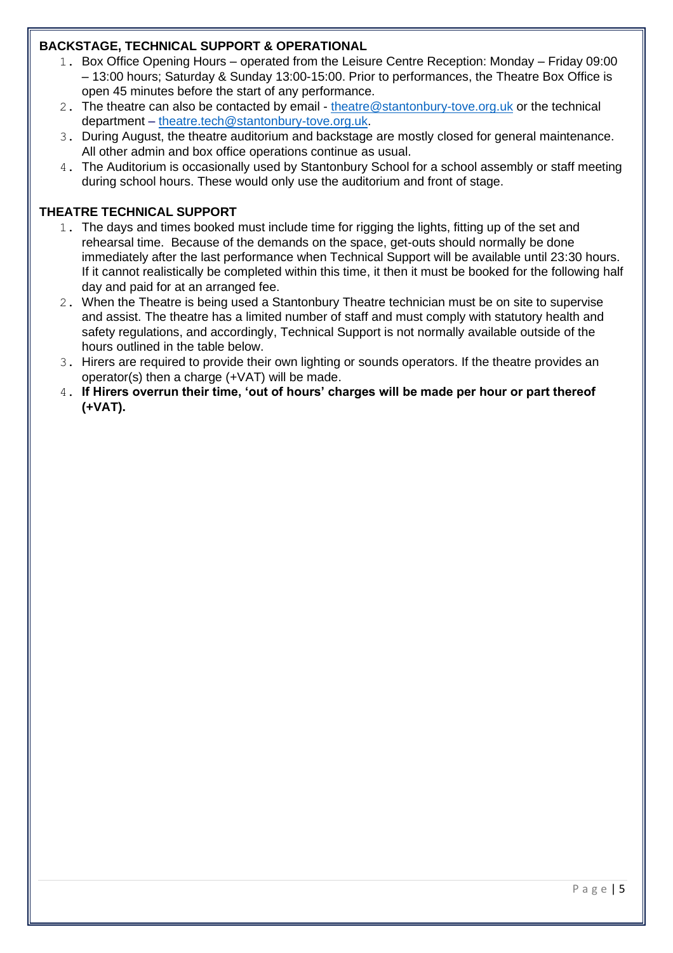# **BACKSTAGE, TECHNICAL SUPPORT & OPERATIONAL**

- 1. Box Office Opening Hours operated from the Leisure Centre Reception: Monday Friday 09:00 – 13:00 hours; Saturday & Sunday 13:00-15:00. Prior to performances, the Theatre Box Office is open 45 minutes before the start of any performance.
- 2. The theatre can also be contacted by email [theatre@stantonbury-tove.org.uk](mailto:theatre@stantonbury-tove.org.uk) or the technical department – [theatre.tech@stantonbury-tove.org.uk.](mailto:theatre.tech@stantonbury-tove.org.uk)
- 3. During August, the theatre auditorium and backstage are mostly closed for general maintenance. All other admin and box office operations continue as usual.
- 4. The Auditorium is occasionally used by Stantonbury School for a school assembly or staff meeting during school hours. These would only use the auditorium and front of stage.

## **THEATRE TECHNICAL SUPPORT**

- 1. The days and times booked must include time for rigging the lights, fitting up of the set and rehearsal time. Because of the demands on the space, get-outs should normally be done immediately after the last performance when Technical Support will be available until 23:30 hours. If it cannot realistically be completed within this time, it then it must be booked for the following half day and paid for at an arranged fee.
- 2. When the Theatre is being used a Stantonbury Theatre technician must be on site to supervise and assist. The theatre has a limited number of staff and must comply with statutory health and safety regulations, and accordingly, Technical Support is not normally available outside of the hours outlined in the table below.
- 3. Hirers are required to provide their own lighting or sounds operators. If the theatre provides an operator(s) then a charge (+VAT) will be made.
- 4. **If Hirers overrun their time, 'out of hours' charges will be made per hour or part thereof (+VAT).**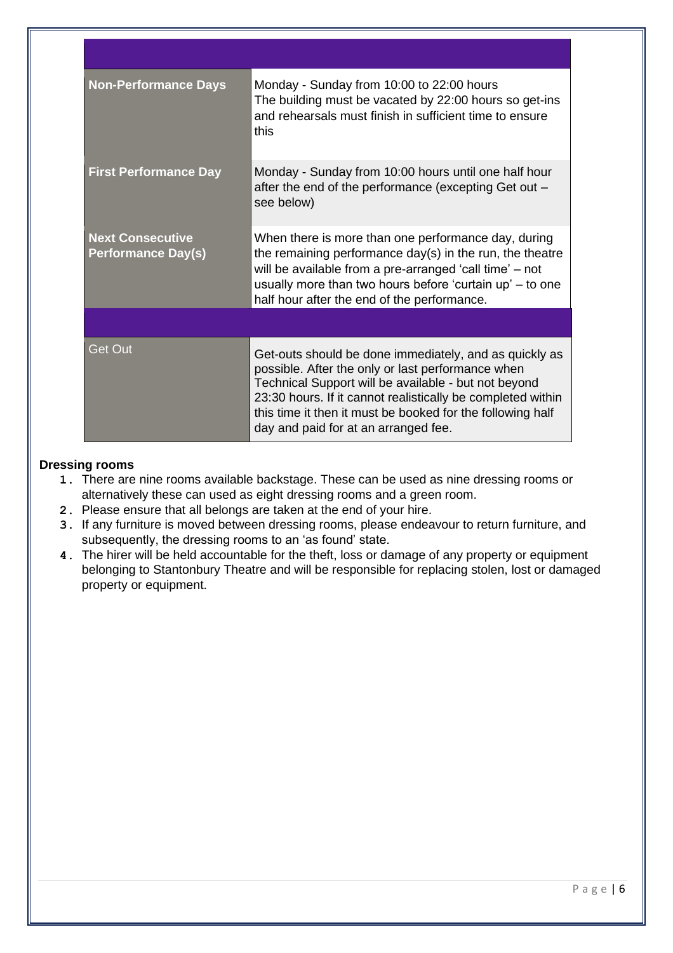| <b>Non-Performance Days</b>                          | Monday - Sunday from 10:00 to 22:00 hours<br>The building must be vacated by 22:00 hours so get-ins<br>and rehearsals must finish in sufficient time to ensure<br>this                                                                                                                                                                   |
|------------------------------------------------------|------------------------------------------------------------------------------------------------------------------------------------------------------------------------------------------------------------------------------------------------------------------------------------------------------------------------------------------|
| <b>First Performance Day</b>                         | Monday - Sunday from 10:00 hours until one half hour<br>after the end of the performance (excepting Get out -<br>see below)                                                                                                                                                                                                              |
| <b>Next Consecutive</b><br><b>Performance Day(s)</b> | When there is more than one performance day, during<br>the remaining performance day(s) in the run, the theatre<br>will be available from a pre-arranged 'call time' – not<br>usually more than two hours before 'curtain up' – to one<br>half hour after the end of the performance.                                                    |
|                                                      |                                                                                                                                                                                                                                                                                                                                          |
| <b>Get Out</b>                                       | Get-outs should be done immediately, and as quickly as<br>possible. After the only or last performance when<br>Technical Support will be available - but not beyond<br>23:30 hours. If it cannot realistically be completed within<br>this time it then it must be booked for the following half<br>day and paid for at an arranged fee. |

# **Dressing rooms**

- **1.** There are nine rooms available backstage. These can be used as nine dressing rooms or alternatively these can used as eight dressing rooms and a green room.
- **2.** Please ensure that all belongs are taken at the end of your hire.
- **3.** If any furniture is moved between dressing rooms, please endeavour to return furniture, and subsequently, the dressing rooms to an 'as found' state.
- **4.** The hirer will be held accountable for the theft, loss or damage of any property or equipment belonging to Stantonbury Theatre and will be responsible for replacing stolen, lost or damaged property or equipment.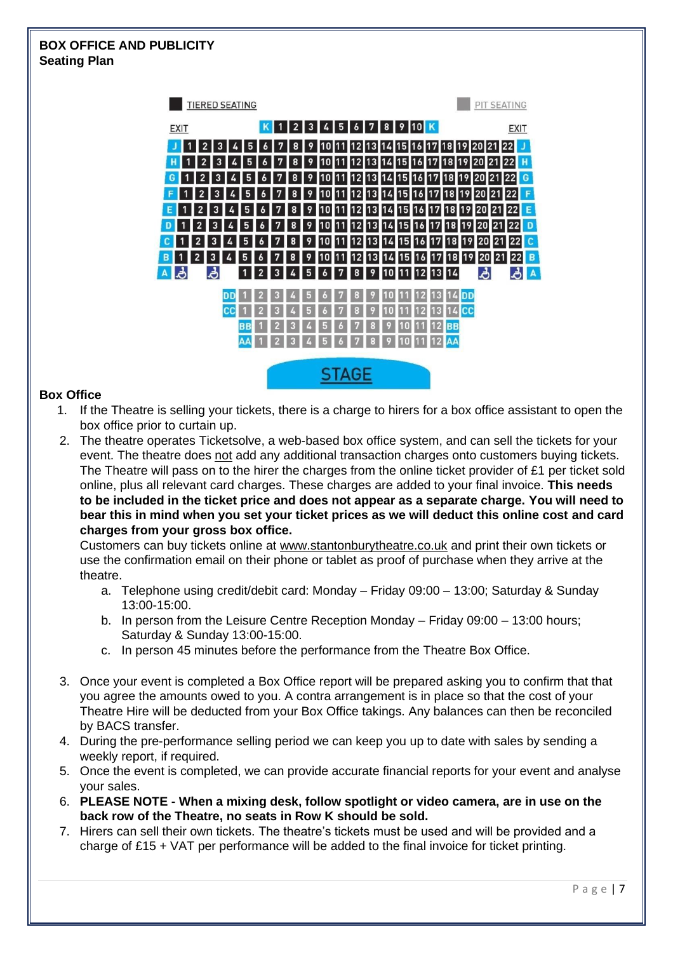# **BOX OFFICE AND PUBLICITY Seating Plan**



#### **Box Office**

- 1. If the Theatre is selling your tickets, there is a charge to hirers for a box office assistant to open the box office prior to curtain up.
- 2. The theatre operates Ticketsolve, a web-based box office system, and can sell the tickets for your event. The theatre does not add any additional transaction charges onto customers buying tickets. The Theatre will pass on to the hirer the charges from the online ticket provider of £1 per ticket sold online, plus all relevant card charges. These charges are added to your final invoice. **This needs to be included in the ticket price and does not appear as a separate charge. You will need to bear this in mind when you set your ticket prices as we will deduct this online cost and card charges from your gross box office.**

Customers can buy tickets online at [www.stantonburytheatre.co.uk](http://www.stantonburytheatre.co.uk/) and print their own tickets or use the confirmation email on their phone or tablet as proof of purchase when they arrive at the theatre.

- a. Telephone using credit/debit card: Monday Friday 09:00 13:00; Saturday & Sunday 13:00-15:00.
- b. In person from the Leisure Centre Reception Monday Friday 09:00 13:00 hours; Saturday & Sunday 13:00-15:00.
- c. In person 45 minutes before the performance from the Theatre Box Office.
- 3. Once your event is completed a Box Office report will be prepared asking you to confirm that that you agree the amounts owed to you. A contra arrangement is in place so that the cost of your Theatre Hire will be deducted from your Box Office takings. Any balances can then be reconciled by BACS transfer.
- 4. During the pre-performance selling period we can keep you up to date with sales by sending a weekly report, if required.
- 5. Once the event is completed, we can provide accurate financial reports for your event and analyse your sales.
- 6. **PLEASE NOTE - When a mixing desk, follow spotlight or video camera, are in use on the back row of the Theatre, no seats in Row K should be sold.**
- 7. Hirers can sell their own tickets. The theatre's tickets must be used and will be provided and a charge of £15 + VAT per performance will be added to the final invoice for ticket printing.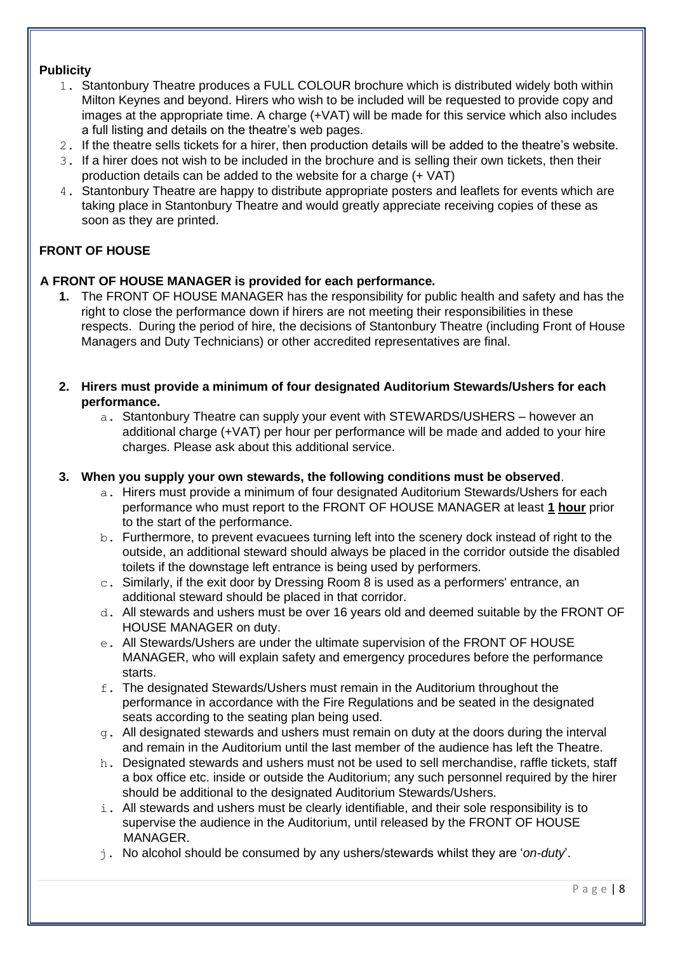## **Publicity**

- 1. Stantonbury Theatre produces a FULL COLOUR brochure which is distributed widely both within Milton Keynes and beyond. Hirers who wish to be included will be requested to provide copy and images at the appropriate time. A charge (+VAT) will be made for this service which also includes a full listing and details on the theatre's web pages.
- 2. If the theatre sells tickets for a hirer, then production details will be added to the theatre's website.
- 3. If a hirer does not wish to be included in the brochure and is selling their own tickets, then their production details can be added to the website for a charge (+ VAT)
- 4. Stantonbury Theatre are happy to distribute appropriate posters and leaflets for events which are taking place in Stantonbury Theatre and would greatly appreciate receiving copies of these as soon as they are printed.

# **FRONT OF HOUSE**

# **A FRONT OF HOUSE MANAGER is provided for each performance.**

- **1.** The FRONT OF HOUSE MANAGER has the responsibility for public health and safety and has the right to close the performance down if hirers are not meeting their responsibilities in these respects. During the period of hire, the decisions of Stantonbury Theatre (including Front of House Managers and Duty Technicians) or other accredited representatives are final.
- **2. Hirers must provide a minimum of four designated Auditorium Stewards/Ushers for each performance.** 
	- a. Stantonbury Theatre can supply your event with STEWARDS/USHERS however an additional charge (+VAT) per hour per performance will be made and added to your hire charges. Please ask about this additional service.

# **3. When you supply your own stewards, the following conditions must be observed**.

- a. Hirers must provide a minimum of four designated Auditorium Stewards/Ushers for each performance who must report to the FRONT OF HOUSE MANAGER at least **1 hour** prior to the start of the performance.
- b. Furthermore, to prevent evacuees turning left into the scenery dock instead of right to the outside, an additional steward should always be placed in the corridor outside the disabled toilets if the downstage left entrance is being used by performers.
- c. Similarly, if the exit door by Dressing Room 8 is used as a performers' entrance, an additional steward should be placed in that corridor.
- d. All stewards and ushers must be over 16 years old and deemed suitable by the FRONT OF HOUSE MANAGER on duty.
- e. All Stewards/Ushers are under the ultimate supervision of the FRONT OF HOUSE MANAGER, who will explain safety and emergency procedures before the performance starts.
- f. The designated Stewards/Ushers must remain in the Auditorium throughout the performance in accordance with the Fire Regulations and be seated in the designated seats according to the seating plan being used.
- g. All designated stewards and ushers must remain on duty at the doors during the interval and remain in the Auditorium until the last member of the audience has left the Theatre.
- h. Designated stewards and ushers must not be used to sell merchandise, raffle tickets, staff a box office etc. inside or outside the Auditorium; any such personnel required by the hirer should be additional to the designated Auditorium Stewards/Ushers.
- i. All stewards and ushers must be clearly identifiable, and their sole responsibility is to supervise the audience in the Auditorium, until released by the FRONT OF HOUSE MANAGER.
- j. No alcohol should be consumed by any ushers/stewards whilst they are '*on-duty*'.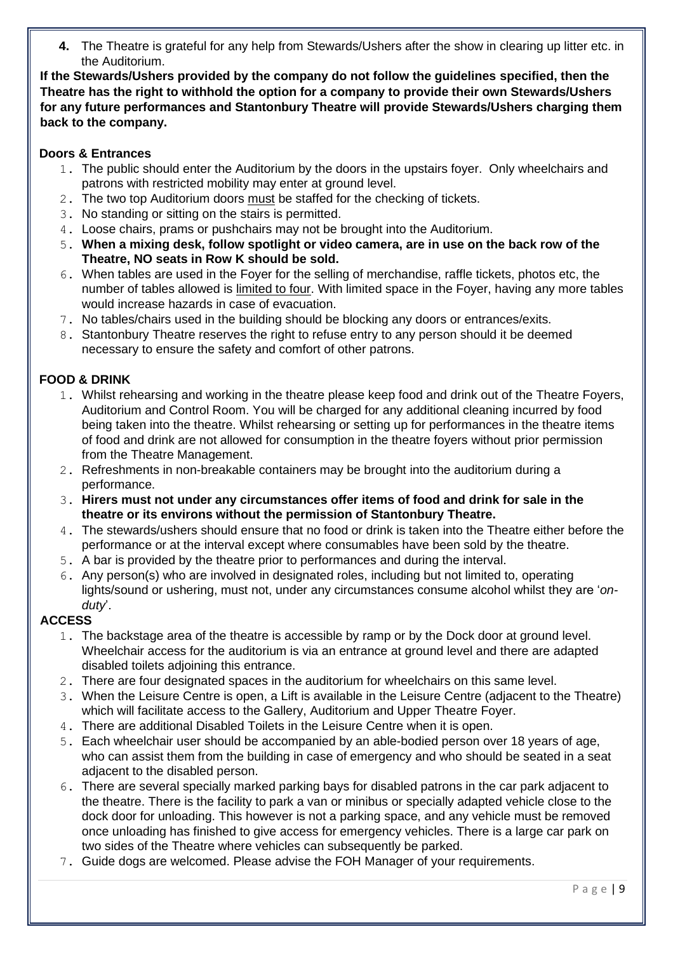**4.** The Theatre is grateful for any help from Stewards/Ushers after the show in clearing up litter etc. in the Auditorium.

**If the Stewards/Ushers provided by the company do not follow the guidelines specified, then the Theatre has the right to withhold the option for a company to provide their own Stewards/Ushers for any future performances and Stantonbury Theatre will provide Stewards/Ushers charging them back to the company.**

# **Doors & Entrances**

- 1. The public should enter the Auditorium by the doors in the upstairs foyer. Only wheelchairs and patrons with restricted mobility may enter at ground level.
- 2. The two top Auditorium doors must be staffed for the checking of tickets.
- 3. No standing or sitting on the stairs is permitted.
- 4. Loose chairs, prams or pushchairs may not be brought into the Auditorium.
- 5. **When a mixing desk, follow spotlight or video camera, are in use on the back row of the Theatre, NO seats in Row K should be sold.**
- 6. When tables are used in the Foyer for the selling of merchandise, raffle tickets, photos etc, the number of tables allowed is limited to four. With limited space in the Foyer, having any more tables would increase hazards in case of evacuation.
- 7. No tables/chairs used in the building should be blocking any doors or entrances/exits.
- 8. Stantonbury Theatre reserves the right to refuse entry to any person should it be deemed necessary to ensure the safety and comfort of other patrons.

# **FOOD & DRINK**

- 1. Whilst rehearsing and working in the theatre please keep food and drink out of the Theatre Foyers, Auditorium and Control Room. You will be charged for any additional cleaning incurred by food being taken into the theatre. Whilst rehearsing or setting up for performances in the theatre items of food and drink are not allowed for consumption in the theatre foyers without prior permission from the Theatre Management.
- 2. Refreshments in non-breakable containers may be brought into the auditorium during a performance.
- 3. **Hirers must not under any circumstances offer items of food and drink for sale in the theatre or its environs without the permission of Stantonbury Theatre.**
- 4. The stewards/ushers should ensure that no food or drink is taken into the Theatre either before the performance or at the interval except where consumables have been sold by the theatre.
- 5. A bar is provided by the theatre prior to performances and during the interval.
- 6. Any person(s) who are involved in designated roles, including but not limited to, operating lights/sound or ushering, must not, under any circumstances consume alcohol whilst they are '*onduty*'.

# **ACCESS**

- 1. The backstage area of the theatre is accessible by ramp or by the Dock door at ground level. Wheelchair access for the auditorium is via an entrance at ground level and there are adapted disabled toilets adjoining this entrance.
- 2. There are four designated spaces in the auditorium for wheelchairs on this same level.
- 3. When the Leisure Centre is open, a Lift is available in the Leisure Centre (adjacent to the Theatre) which will facilitate access to the Gallery, Auditorium and Upper Theatre Foyer.
- 4. There are additional Disabled Toilets in the Leisure Centre when it is open.
- 5. Each wheelchair user should be accompanied by an able-bodied person over 18 years of age, who can assist them from the building in case of emergency and who should be seated in a seat adjacent to the disabled person.
- 6. There are several specially marked parking bays for disabled patrons in the car park adjacent to the theatre. There is the facility to park a van or minibus or specially adapted vehicle close to the dock door for unloading. This however is not a parking space, and any vehicle must be removed once unloading has finished to give access for emergency vehicles. There is a large car park on two sides of the Theatre where vehicles can subsequently be parked.
- 7. Guide dogs are welcomed. Please advise the FOH Manager of your requirements.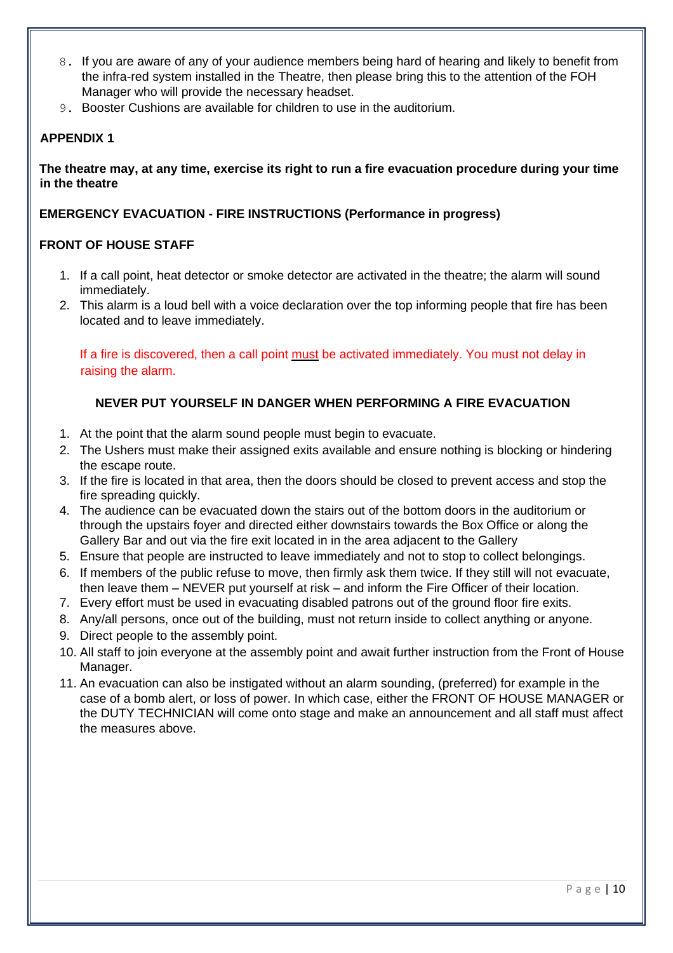- 8. If you are aware of any of your audience members being hard of hearing and likely to benefit from the infra-red system installed in the Theatre, then please bring this to the attention of the FOH Manager who will provide the necessary headset.
- 9. Booster Cushions are available for children to use in the auditorium.

# **APPENDIX 1**

**The theatre may, at any time, exercise its right to run a fire evacuation procedure during your time in the theatre** 

## **EMERGENCY EVACUATION - FIRE INSTRUCTIONS (Performance in progress)**

## **FRONT OF HOUSE STAFF**

- 1. If a call point, heat detector or smoke detector are activated in the theatre; the alarm will sound immediately.
- 2. This alarm is a loud bell with a voice declaration over the top informing people that fire has been located and to leave immediately.

If a fire is discovered, then a call point must be activated immediately. You must not delay in raising the alarm.

## **NEVER PUT YOURSELF IN DANGER WHEN PERFORMING A FIRE EVACUATION**

- 1. At the point that the alarm sound people must begin to evacuate.
- 2. The Ushers must make their assigned exits available and ensure nothing is blocking or hindering the escape route.
- 3. If the fire is located in that area, then the doors should be closed to prevent access and stop the fire spreading quickly.
- 4. The audience can be evacuated down the stairs out of the bottom doors in the auditorium or through the upstairs foyer and directed either downstairs towards the Box Office or along the Gallery Bar and out via the fire exit located in in the area adjacent to the Gallery
- 5. Ensure that people are instructed to leave immediately and not to stop to collect belongings.
- 6. If members of the public refuse to move, then firmly ask them twice. If they still will not evacuate, then leave them – NEVER put yourself at risk – and inform the Fire Officer of their location.
- 7. Every effort must be used in evacuating disabled patrons out of the ground floor fire exits.
- 8. Any/all persons, once out of the building, must not return inside to collect anything or anyone.
- 9. Direct people to the assembly point.
- 10. All staff to join everyone at the assembly point and await further instruction from the Front of House Manager.
- 11. An evacuation can also be instigated without an alarm sounding, (preferred) for example in the case of a bomb alert, or loss of power. In which case, either the FRONT OF HOUSE MANAGER or the DUTY TECHNICIAN will come onto stage and make an announcement and all staff must affect the measures above.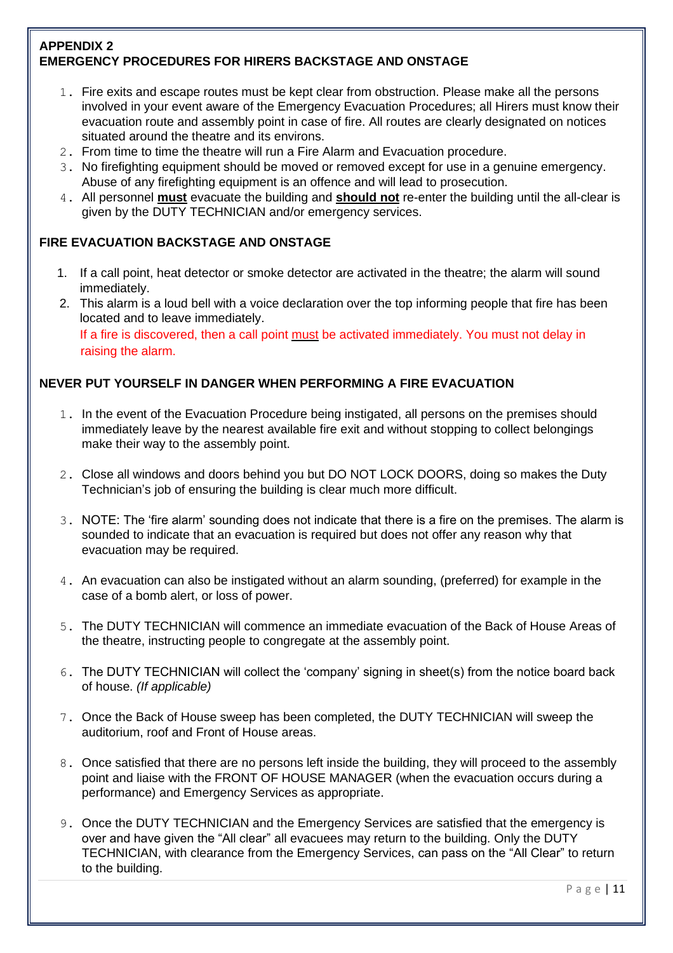# **APPENDIX 2 EMERGENCY PROCEDURES FOR HIRERS BACKSTAGE AND ONSTAGE**

- 1. Fire exits and escape routes must be kept clear from obstruction. Please make all the persons involved in your event aware of the Emergency Evacuation Procedures; all Hirers must know their evacuation route and assembly point in case of fire. All routes are clearly designated on notices situated around the theatre and its environs.
- 2. From time to time the theatre will run a Fire Alarm and Evacuation procedure.
- 3. No firefighting equipment should be moved or removed except for use in a genuine emergency. Abuse of any firefighting equipment is an offence and will lead to prosecution.
- 4. All personnel **must** evacuate the building and **should not** re-enter the building until the all-clear is given by the DUTY TECHNICIAN and/or emergency services.

# **FIRE EVACUATION BACKSTAGE AND ONSTAGE**

- 1. If a call point, heat detector or smoke detector are activated in the theatre; the alarm will sound immediately.
- 2. This alarm is a loud bell with a voice declaration over the top informing people that fire has been located and to leave immediately. If a fire is discovered, then a call point must be activated immediately. You must not delay in raising the alarm.

## **NEVER PUT YOURSELF IN DANGER WHEN PERFORMING A FIRE EVACUATION**

- 1. In the event of the Evacuation Procedure being instigated, all persons on the premises should immediately leave by the nearest available fire exit and without stopping to collect belongings make their way to the assembly point.
- 2. Close all windows and doors behind you but DO NOT LOCK DOORS, doing so makes the Duty Technician's job of ensuring the building is clear much more difficult.
- 3. NOTE: The 'fire alarm' sounding does not indicate that there is a fire on the premises. The alarm is sounded to indicate that an evacuation is required but does not offer any reason why that evacuation may be required.
- 4. An evacuation can also be instigated without an alarm sounding, (preferred) for example in the case of a bomb alert, or loss of power.
- 5. The DUTY TECHNICIAN will commence an immediate evacuation of the Back of House Areas of the theatre, instructing people to congregate at the assembly point.
- 6. The DUTY TECHNICIAN will collect the 'company' signing in sheet(s) from the notice board back of house. *(If applicable)*
- 7. Once the Back of House sweep has been completed, the DUTY TECHNICIAN will sweep the auditorium, roof and Front of House areas.
- 8. Once satisfied that there are no persons left inside the building, they will proceed to the assembly point and liaise with the FRONT OF HOUSE MANAGER (when the evacuation occurs during a performance) and Emergency Services as appropriate.
- 9. Once the DUTY TECHNICIAN and the Emergency Services are satisfied that the emergency is over and have given the "All clear" all evacuees may return to the building. Only the DUTY TECHNICIAN, with clearance from the Emergency Services, can pass on the "All Clear" to return to the building.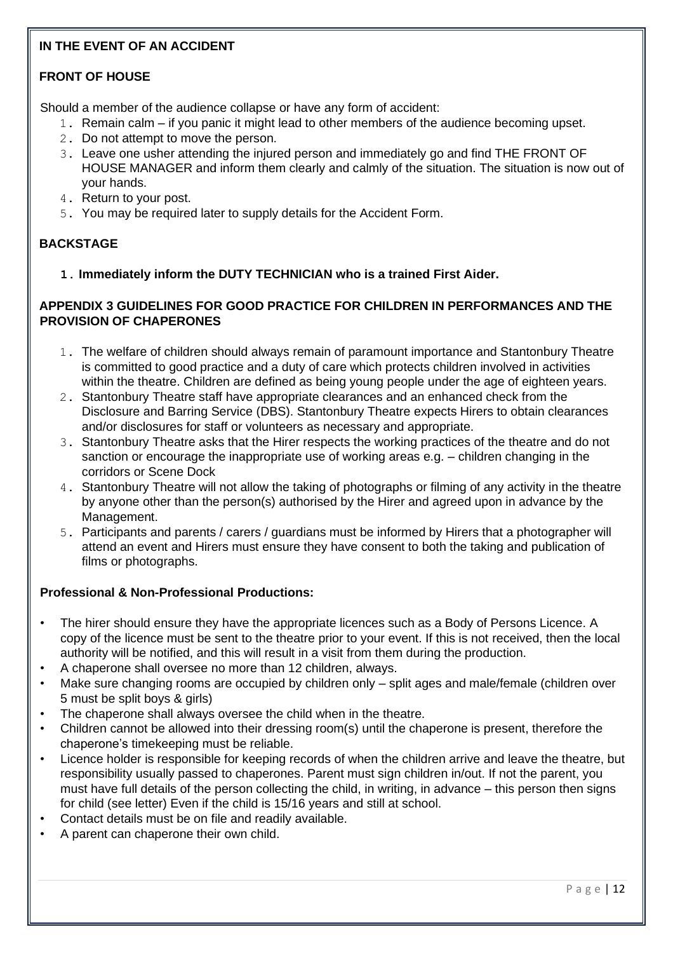# **IN THE EVENT OF AN ACCIDENT**

# **FRONT OF HOUSE**

Should a member of the audience collapse or have any form of accident:

- 1. Remain calm if you panic it might lead to other members of the audience becoming upset.
- 2. Do not attempt to move the person.
- 3. Leave one usher attending the injured person and immediately go and find THE FRONT OF HOUSE MANAGER and inform them clearly and calmly of the situation. The situation is now out of your hands.
- 4. Return to your post.
- 5. You may be required later to supply details for the Accident Form.

# **BACKSTAGE**

**1. Immediately inform the DUTY TECHNICIAN who is a trained First Aider.** 

### **APPENDIX 3 GUIDELINES FOR GOOD PRACTICE FOR CHILDREN IN PERFORMANCES AND THE PROVISION OF CHAPERONES**

- 1. The welfare of children should always remain of paramount importance and Stantonbury Theatre is committed to good practice and a duty of care which protects children involved in activities within the theatre. Children are defined as being young people under the age of eighteen years.
- 2. Stantonbury Theatre staff have appropriate clearances and an enhanced check from the Disclosure and Barring Service (DBS). Stantonbury Theatre expects Hirers to obtain clearances and/or disclosures for staff or volunteers as necessary and appropriate.
- 3. Stantonbury Theatre asks that the Hirer respects the working practices of the theatre and do not sanction or encourage the inappropriate use of working areas e.g. – children changing in the corridors or Scene Dock
- 4. Stantonbury Theatre will not allow the taking of photographs or filming of any activity in the theatre by anyone other than the person(s) authorised by the Hirer and agreed upon in advance by the Management.
- 5. Participants and parents / carers / guardians must be informed by Hirers that a photographer will attend an event and Hirers must ensure they have consent to both the taking and publication of films or photographs.

# **Professional & Non-Professional Productions:**

- The hirer should ensure they have the appropriate licences such as a Body of Persons Licence. A copy of the licence must be sent to the theatre prior to your event. If this is not received, then the local authority will be notified, and this will result in a visit from them during the production.
- A chaperone shall oversee no more than 12 children, always.
- Make sure changing rooms are occupied by children only split ages and male/female (children over 5 must be split boys & girls)
- The chaperone shall always oversee the child when in the theatre.
- Children cannot be allowed into their dressing room(s) until the chaperone is present, therefore the chaperone's timekeeping must be reliable.
- Licence holder is responsible for keeping records of when the children arrive and leave the theatre, but responsibility usually passed to chaperones. Parent must sign children in/out. If not the parent, you must have full details of the person collecting the child, in writing, in advance – this person then signs for child (see letter) Even if the child is 15/16 years and still at school.
- Contact details must be on file and readily available.
- A parent can chaperone their own child.